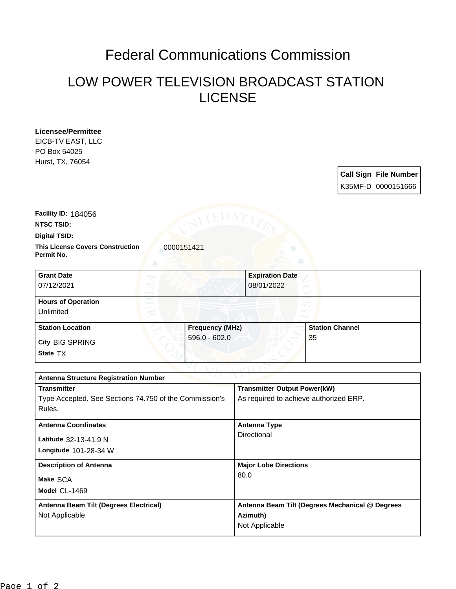## Federal Communications Commission

## LOW POWER TELEVISION BROADCAST STATION LICENSE

| <b>Licensee/Permittee</b><br>EICB-TV EAST, LLC<br>PO Box 54025<br>Hurst, TX, 76054 |                              |
|------------------------------------------------------------------------------------|------------------------------|
|                                                                                    | <b>Call Sign File Number</b> |
|                                                                                    | K35MF-D 0000151666           |
| Facility ID: 184056                                                                |                              |
| <b>NTSC TSID:</b>                                                                  |                              |
| <b>Digital TSID:</b>                                                               |                              |
| <b>This License Covers Construction</b><br>Permit No.                              | 0000151421                   |
| <b>Grant Date</b>                                                                  | <b>Expiration Date</b>       |
| 07/12/2021                                                                         | 08/01/2022                   |
| <b>Hours of Operation</b><br>Unlimited                                             |                              |

| <b>.</b>                           |                        |                        |  |  |  |
|------------------------------------|------------------------|------------------------|--|--|--|
| <b>Station Location</b>            | <b>Frequency (MHz)</b> | <b>Station Channel</b> |  |  |  |
| <b>City BIG SPRING</b><br>State TX | $596.0 - 602.0$        | 35                     |  |  |  |

| .<br><b>Antenna Structure Registration Number</b> |  |  |  |  |
|---------------------------------------------------|--|--|--|--|
| <b>Transmitter Output Power(kW)</b>               |  |  |  |  |
| As required to achieve authorized ERP.            |  |  |  |  |
|                                                   |  |  |  |  |
| <b>Antenna Type</b>                               |  |  |  |  |
| Directional                                       |  |  |  |  |
|                                                   |  |  |  |  |
| <b>Major Lobe Directions</b>                      |  |  |  |  |
| 80.0                                              |  |  |  |  |
|                                                   |  |  |  |  |
| Antenna Beam Tilt (Degrees Mechanical @ Degrees   |  |  |  |  |
| Azimuth)                                          |  |  |  |  |
| Not Applicable                                    |  |  |  |  |
|                                                   |  |  |  |  |